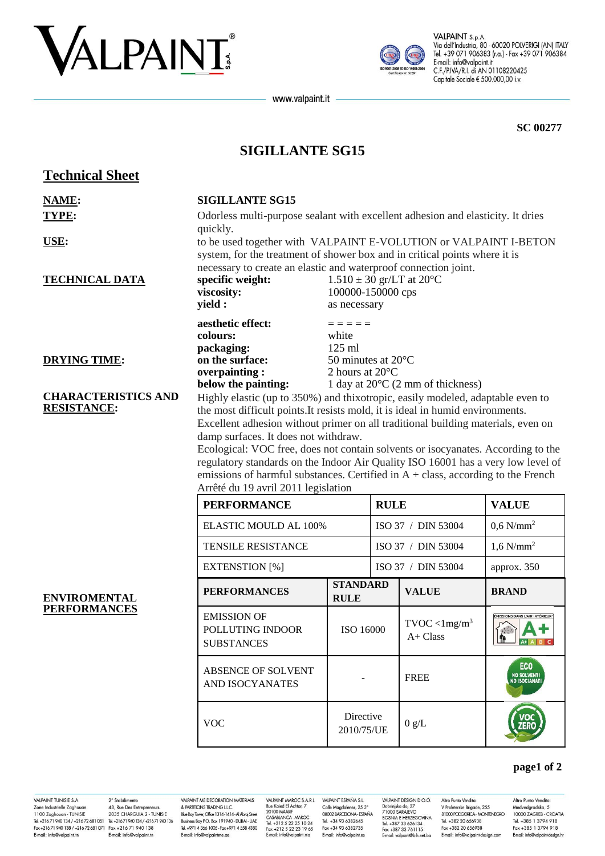# VALPAINT



VALPAINT S.p.A. Via dell'Industria, 80 - 60020 POLVERIGI (AN) ITALY Tel. +39 071 906383 (r.a.) - Fax +39 071 906384 E-mail: info@valpaint.it<br>C.F./P.IVA/R.I. di AN 01108220425 Capitale Sociale € 500.000,00 i.v.

www.valpaint.it

**SC 00277** 

# **SIGILLANTE SG15**

| <b>Technical Sheet</b>                            |                                                                                                                                                                                                                                                                                                                                                                                                                                                                                                                  |                                |                    |                                                  |                                            |  |  |  |
|---------------------------------------------------|------------------------------------------------------------------------------------------------------------------------------------------------------------------------------------------------------------------------------------------------------------------------------------------------------------------------------------------------------------------------------------------------------------------------------------------------------------------------------------------------------------------|--------------------------------|--------------------|--------------------------------------------------|--------------------------------------------|--|--|--|
| <b>NAME:</b>                                      | <b>SIGILLANTE SG15</b>                                                                                                                                                                                                                                                                                                                                                                                                                                                                                           |                                |                    |                                                  |                                            |  |  |  |
| <b>TYPE:</b>                                      | Odorless multi-purpose sealant with excellent adhesion and elasticity. It dries<br>quickly.                                                                                                                                                                                                                                                                                                                                                                                                                      |                                |                    |                                                  |                                            |  |  |  |
| USE:                                              | to be used together with VALPAINT E-VOLUTION or VALPAINT I-BETON<br>system, for the treatment of shower box and in critical points where it is                                                                                                                                                                                                                                                                                                                                                                   |                                |                    |                                                  |                                            |  |  |  |
| <b>TECHNICAL DATA</b>                             | necessary to create an elastic and waterproof connection joint.<br>specific weight:<br>$1.510 \pm 30$ gr/LT at 20°C<br>viscosity:<br>100000-150000 cps<br>yield :<br>as necessary                                                                                                                                                                                                                                                                                                                                |                                |                    |                                                  |                                            |  |  |  |
| <b>DRYING TIME:</b><br><b>CHARACTERISTICS AND</b> | aesthetic effect:<br>$=$ $=$ $=$ $=$<br>colours:<br>white<br>125 ml<br>packaging:<br>on the surface:<br>50 minutes at 20°C<br>overpainting:<br>2 hours at 20°C<br>below the painting:<br>1 day at $20^{\circ}$ C (2 mm of thickness)<br>Highly elastic (up to 350%) and thixotropic, easily modeled, adaptable even to                                                                                                                                                                                           |                                |                    |                                                  |                                            |  |  |  |
| <b>RESISTANCE:</b>                                | the most difficult points. It resists mold, it is ideal in humid environments.<br>Excellent adhesion without primer on all traditional building materials, even on<br>damp surfaces. It does not withdraw.<br>Ecological: VOC free, does not contain solvents or isocyanates. According to the<br>regulatory standards on the Indoor Air Quality ISO 16001 has a very low level of<br>emissions of harmful substances. Certified in $A + class$ , according to the French<br>Arrêté du 19 avril 2011 legislation |                                |                    |                                                  |                                            |  |  |  |
| <b>ENVIROMENTAL</b><br><b>PERFORMANCES</b>        | <b>PERFORMANCE</b>                                                                                                                                                                                                                                                                                                                                                                                                                                                                                               |                                | <b>RULE</b>        |                                                  | <b>VALUE</b>                               |  |  |  |
|                                                   | ELASTIC MOULD AL 100%                                                                                                                                                                                                                                                                                                                                                                                                                                                                                            |                                | ISO 37 / DIN 53004 |                                                  | $0.6$ N/mm <sup>2</sup>                    |  |  |  |
|                                                   | <b>TENSILE RESISTANCE</b>                                                                                                                                                                                                                                                                                                                                                                                                                                                                                        |                                | ISO 37 / DIN 53004 |                                                  | $1,6$ N/mm <sup>2</sup>                    |  |  |  |
|                                                   | <b>EXTENSTION</b> [%]                                                                                                                                                                                                                                                                                                                                                                                                                                                                                            |                                | ISO 37 / DIN 53004 |                                                  | approx. 350                                |  |  |  |
|                                                   | <b>PERFORMANCES</b>                                                                                                                                                                                                                                                                                                                                                                                                                                                                                              | <b>STANDARD</b><br><b>RULE</b> |                    | <b>VALUE</b>                                     | <b>BRAND</b>                               |  |  |  |
|                                                   | <b>EMISSION OF</b><br>POLLUTING INDOOR<br><b>SUBSTANCES</b>                                                                                                                                                                                                                                                                                                                                                                                                                                                      | ISO 16000                      |                    | $\text{TVOC}$ <1mg/m <sup>3</sup><br>$A + Class$ | EMISSIONS DANS L'AIR INTÉRIEUR"<br>É       |  |  |  |
|                                                   | ABSENCE OF SOLVENT<br>AND ISOCYANATES                                                                                                                                                                                                                                                                                                                                                                                                                                                                            |                                |                    | <b>FREE</b>                                      | <b>ECO</b><br>NO SOLVENTI<br>NO ISOCIANATI |  |  |  |
|                                                   | <b>VOC</b>                                                                                                                                                                                                                                                                                                                                                                                                                                                                                                       | Directive<br>2010/75/UE        |                    | 0 g/L                                            |                                            |  |  |  |
|                                                   |                                                                                                                                                                                                                                                                                                                                                                                                                                                                                                                  |                                |                    |                                                  |                                            |  |  |  |

# page1 of 2

VALPAINT TUNISIE S.A. VALPAINT IUNISIE S.A. 2<sup>2</sup> Stabilimento<br>
2018 Industrielle Zaghouan 43, Rue Des Entrepreneurs<br>
1100 Zaghouan - TUNISIE 2035 CHARGUIA 2 - TUNISIE<br>
Tel. +21671 940 134 / +21672 681 051 - Tel. +21671 940 134<br>
Fax +21671 940 1 E-mail: info@valpaint.tn

2° Stabilimento E-mail: info@valpaint to

VALPAINT ME DECORATION MATERIALS & PARTITIONS TRADING L.L.C.<br>& PARTITIONS TRADING L.L.C.<br>Blue Bay Tower, Office 1314-1414-Al Abraj Street Business Bay PO Box 191940 - DUBAI - UAF Tel. +971 4 366 1005 - Fax +971 4 558 4380 E-mail: info@valpaintme.ae

VALPAINT MAROC S.A.R.L VALPAINT MAROC S.A.R.L<br>Rue Kaied El Achtar, 7<br>20100 MAARIF<br>CASABLANCA - MAROC<br>Tel. +212 5 22 25 10 24<br>Fax +212 5 22 23 19 65<br>E-mail: info@valpaint.ma

VALPAINT ESPAÑA S.L. Calle Magdalenes, 25 3°<br>08002 BARCELONA - ESPAÑA Tel +34 93 6382645 Fax +34 93 6382735 E-mail: info@valpaint.es

VALPAINT DESIGN D.O.O. Altro Punto Vendita: VALPAINT DESIGN D.O.O.<br>Dobrinjka do, 27<br>71000 SARAJEVO<br>BOSNIA E HERZEGOVINA<br>Tel. +387 33 626134<br>Fax +387 33 761115 V Proleterske Brigade, 255<br>81000 PODGORICA - MONTENEGRO Tel +382 20 656938 Fax +382 20 656938 E-mail: valpaint@bih.net.ba E-mail: info@valpaint-design.com

Altro Punto Vendita: Medvedgradska, 5<br>10000 ZAGREB - CROATIA Tel +385 1 3794 918 Fax +385 1 3794 918 E-mail: info@valpaint-design.h